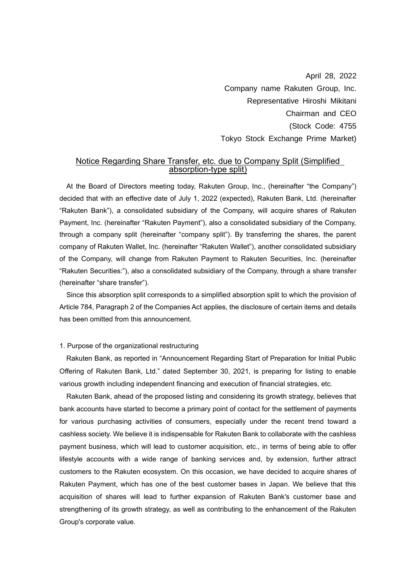April 28, 2022 Company name Rakuten Group, Inc. Representative Hiroshi Mikitani Chairman and CEO (Stock Code: 4755 Tokyo Stock Exchange Prime Market)

# Notice Regarding Share Transfer, etc. due to Company Split (Simplified absorption-type split)

At the Board of Directors meeting today, Rakuten Group, Inc., (hereinafter "the Company") decided that with an effective date of July 1, 2022 (expected), Rakuten Bank, Ltd. (hereinafter "Rakuten Bank"), a consolidated subsidiary of the Company, will acquire shares of Rakuten Payment, Inc. (hereinafter "Rakuten Payment"), also a consolidated subsidiary of the Company, through a company split (hereinafter "company split"). By transferring the shares, the parent company of Rakuten Wallet, Inc. (hereinafter "Rakuten Wallet"), another consolidated subsidiary of the Company, will change from Rakuten Payment to Rakuten Securities, Inc. (hereinafter "Rakuten Securities:"), also a consolidated subsidiary of the Company, through a share transfer (hereinafter "share transfer").

Since this absorption split corresponds to a simplified absorption split to which the provision of Article 784, Paragraph 2 of the Companies Act applies, the disclosure of certain items and details has been omitted from this announcement.

#### 1. Purpose of the organizational restructuring

Rakuten Bank, as reported in "Announcement Regarding Start of Preparation for Initial Public Offering of Rakuten Bank, Ltd." dated September 30, 2021, is preparing for listing to enable various growth including independent financing and execution of financial strategies, etc.

Rakuten Bank, ahead of the proposed listing and considering its growth strategy, believes that bank accounts have started to become a primary point of contact for the settlement of payments for various purchasing activities of consumers, especially under the recent trend toward a cashless society. We believe it is indispensable for Rakuten Bank to collaborate with the cashless payment business, which will lead to customer acquisition, etc., in terms of being able to offer lifestyle accounts with a wide range of banking services and, by extension, further attract customers to the Rakuten ecosystem. On this occasion, we have decided to acquire shares of Rakuten Payment, which has one of the best customer bases in Japan. We believe that this acquisition of shares will lead to further expansion of Rakuten Bank's customer base and strengthening of its growth strategy, as well as contributing to the enhancement of the Rakuten Group's corporate value.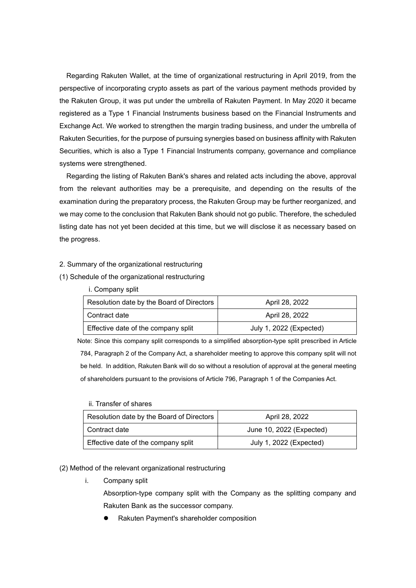Regarding Rakuten Wallet, at the time of organizational restructuring in April 2019, from the perspective of incorporating crypto assets as part of the various payment methods provided by the Rakuten Group, it was put under the umbrella of Rakuten Payment. In May 2020 it became registered as a Type 1 Financial Instruments business based on the Financial Instruments and Exchange Act. We worked to strengthen the margin trading business, and under the umbrella of Rakuten Securities, for the purpose of pursuing synergies based on business affinity with Rakuten Securities, which is also a Type 1 Financial Instruments company, governance and compliance systems were strengthened.

Regarding the listing of Rakuten Bank's shares and related acts including the above, approval from the relevant authorities may be a prerequisite, and depending on the results of the examination during the preparatory process, the Rakuten Group may be further reorganized, and we may come to the conclusion that Rakuten Bank should not go public. Therefore, the scheduled listing date has not yet been decided at this time, but we will disclose it as necessary based on the progress.

#### 2. Summary of the organizational restructuring

- (1) Schedule of the organizational restructuring
	- i. Company split

| Resolution date by the Board of Directors | April 28, 2022          |
|-------------------------------------------|-------------------------|
| Contract date                             | April 28, 2022          |
| Effective date of the company split       | July 1, 2022 (Expected) |

Note: Since this company split corresponds to a simplified absorption-type split prescribed in Article 784, Paragraph 2 of the Company Act, a shareholder meeting to approve this company split will not be held. In addition, Rakuten Bank will do so without a resolution of approval at the general meeting of shareholders pursuant to the provisions of Article 796, Paragraph 1 of the Companies Act.

| Resolution date by the Board of Directors | April 28, 2022           |
|-------------------------------------------|--------------------------|
| Contract date                             | June 10, 2022 (Expected) |
| Effective date of the company split       | July 1, 2022 (Expected)  |

#### (2) Method of the relevant organizational restructuring

i. Company split

ii. Transfer of shares

Absorption-type company split with the Company as the splitting company and Rakuten Bank as the successor company.

⚫ Rakuten Payment's shareholder composition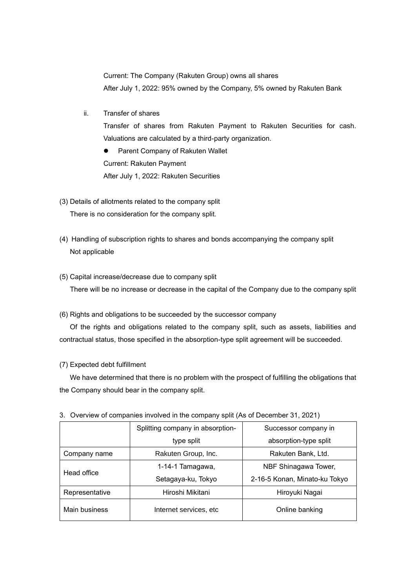Current: The Company (Rakuten Group) owns all shares After July 1, 2022: 95% owned by the Company, 5% owned by Rakuten Bank

ii. Transfer of shares

Transfer of shares from Rakuten Payment to Rakuten Securities for cash. Valuations are calculated by a third-party organization.

⚫ Parent Company of Rakuten Wallet Current: Rakuten Payment After July 1, 2022: Rakuten Securities

- (3) Details of allotments related to the company split There is no consideration for the company split.
- (4) Handling of subscription rights to shares and bonds accompanying the company split Not applicable
- (5) Capital increase/decrease due to company split

There will be no increase or decrease in the capital of the Company due to the company split

(6) Rights and obligations to be succeeded by the successor company

Of the rights and obligations related to the company split, such as assets, liabilities and contractual status, those specified in the absorption-type split agreement will be succeeded.

### (7) Expected debt fulfillment

We have determined that there is no problem with the prospect of fulfilling the obligations that the Company should bear in the company split.

|                | Splitting company in absorption- | Successor company in          |
|----------------|----------------------------------|-------------------------------|
|                | type split                       | absorption-type split         |
| Company name   | Rakuten Group, Inc.              | Rakuten Bank, Ltd.            |
| Head office    | 1-14-1 Tamagawa,                 | NBF Shinagawa Tower,          |
|                | Setagaya-ku, Tokyo               | 2-16-5 Konan, Minato-ku Tokyo |
| Representative | Hiroshi Mikitani                 | Hiroyuki Nagai                |
| Main business  | Internet services, etc.          | Online banking                |

3. Overview of companies involved in the company split (As of December 31, 2021)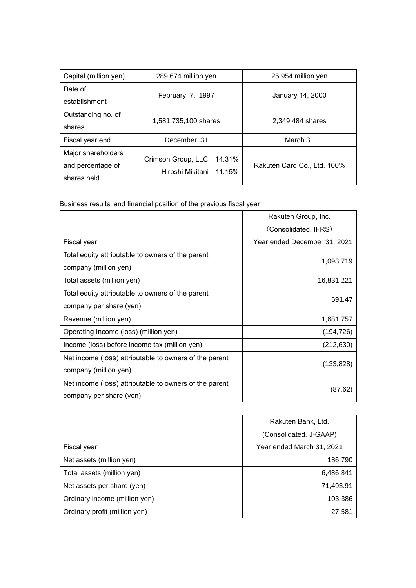| Capital (million yen) | 289,674 million yen     | 25,954 million yen          |
|-----------------------|-------------------------|-----------------------------|
| Date of               |                         |                             |
| establishment         | February 7, 1997        | January 14, 2000            |
| Outstanding no. of    | 1,581,735,100 shares    | 2,349,484 shares            |
| shares                |                         |                             |
| Fiscal year end       | December 31             | March 31                    |
| Major shareholders    | 14.31%                  |                             |
| and percentage of     | Crimson Group, LLC      | Rakuten Card Co., Ltd. 100% |
| shares held           | Hiroshi Mikitani 11.15% |                             |

Business results and financial position of the previous fiscal year

|                                                        | Rakuten Group, Inc.          |  |
|--------------------------------------------------------|------------------------------|--|
|                                                        | (Consolidated, IFRS)         |  |
| Fiscal year                                            | Year ended December 31, 2021 |  |
| Total equity attributable to owners of the parent      |                              |  |
| company (million yen)                                  | 1,093,719                    |  |
| Total assets (million yen)                             | 16,831,221                   |  |
| Total equity attributable to owners of the parent      | 691.47                       |  |
| company per share (yen)                                |                              |  |
| Revenue (million yen)                                  | 1,681,757                    |  |
| Operating Income (loss) (million yen)                  | (194, 726)                   |  |
| Income (loss) before income tax (million yen)          | (212, 630)                   |  |
| Net income (loss) attributable to owners of the parent |                              |  |
| company (million yen)                                  | (133, 828)                   |  |
| Net income (loss) attributable to owners of the parent | (87.62)                      |  |
| company per share (yen)                                |                              |  |

|                               | Rakuten Bank, Ltd.        |
|-------------------------------|---------------------------|
|                               | (Consolidated, J-GAAP)    |
| Fiscal year                   | Year ended March 31, 2021 |
| Net assets (million yen)      | 186,790                   |
| Total assets (million yen)    | 6,486,841                 |
| Net assets per share (yen)    | 71,493.91                 |
| Ordinary income (million yen) | 103,386                   |
| Ordinary profit (million yen) | 27,581                    |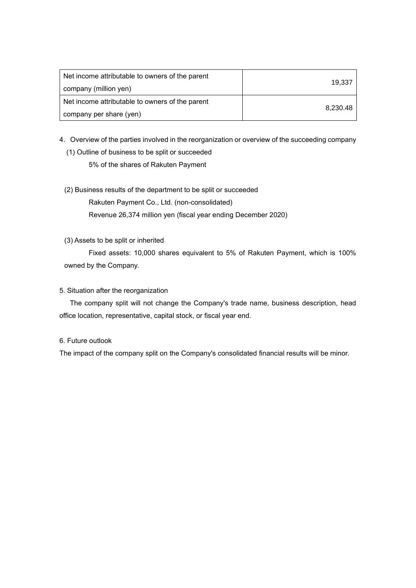| Net income attributable to owners of the parent<br>company (million yen) | 19.337   |
|--------------------------------------------------------------------------|----------|
| Net income attributable to owners of the parent                          | 8,230.48 |
| company per share (yen)                                                  |          |

- 4. Overview of the parties involved in the reorganization or overview of the succeeding company
	- (1) Outline of business to be split or succeeded 5% of the shares of Rakuten Payment
	- (2) Business results of the department to be split or succeeded

Rakuten Payment Co., Ltd. (non-consolidated)

Revenue 26,374 million yen (fiscal year ending December 2020)

# (3) Assets to be split or inherited

Fixed assets: 10,000 shares equivalent to 5% of Rakuten Payment, which is 100% owned by the Company.

# 5. Situation after the reorganization

The company split will not change the Company's trade name, business description, head office location, representative, capital stock, or fiscal year end.

### 6. Future outlook

The impact of the company split on the Company's consolidated financial results will be minor.